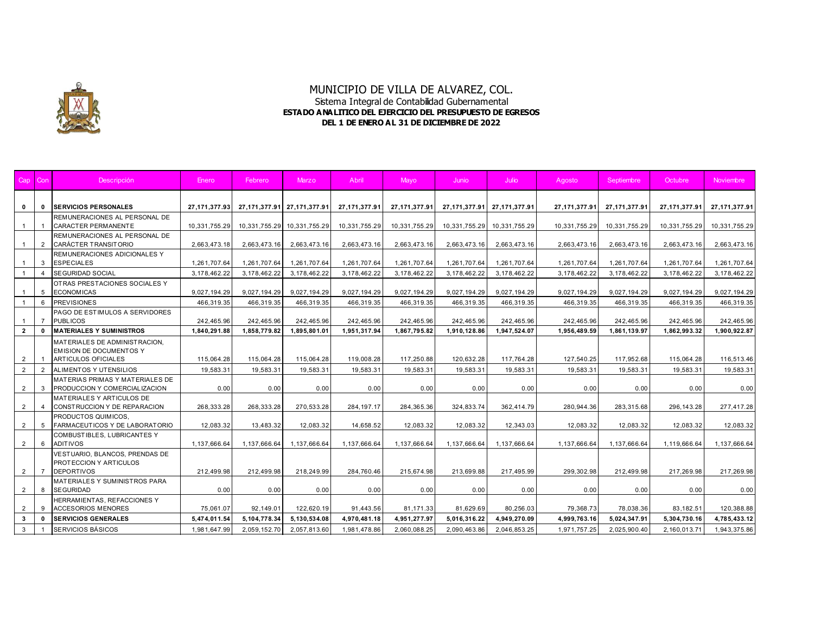

| Cap                              | Con          | Descripción                                                                                    | Enero                   | Febrero                 | Marzo                   | Abril                   | Mayo            | Junio          | Julio                   | Agosto                  | Septiembre              | Octubre                 | <b>Noviembre</b>        |
|----------------------------------|--------------|------------------------------------------------------------------------------------------------|-------------------------|-------------------------|-------------------------|-------------------------|-----------------|----------------|-------------------------|-------------------------|-------------------------|-------------------------|-------------------------|
| $\mathbf 0$                      | $\mathbf{0}$ | <b>ISERVICIOS PERSONALES</b>                                                                   | 27, 171, 377. 93        | 27, 171, 377. 91        | 27, 171, 377.91         | 27, 171, 377. 91        | 27, 171, 377.91 | 27,171,377.91  | 27, 171, 377.91         | 27, 171, 377.91         | 27, 171, 377. 91        | 27,171,377.91           | 27, 171, 377.91         |
| $\overline{1}$                   |              | REMUNERACIONES AL PERSONAL DE<br><b>CARACTER PERMANENTE</b>                                    | 10,331,755.29           | 10,331,755.29           | 10,331,755.29           | 10,331,755.29           | 10,331,755.29   | 10,331,755.29  | 10,331,755.29           | 10,331,755.29           | 10,331,755.29           | 10,331,755.29           | 10,331,755.29           |
| $\overline{1}$                   | 2            | REMUNERACIONES AL PERSONAL DE<br>CARÁCTER TRANSITORIO                                          | 2,663,473.18            | 2,663,473.16            | 2,663,473.16            | 2,663,473.16            | 2,663,473.16    | 2,663,473.16   | 2,663,473.16            | 2,663,473.16            | 2,663,473.16            | 2,663,473.16            | 2,663,473.16            |
| $\overline{1}$                   | 3            | REMUNERACIONES ADICIONALES Y<br><b>ESPECIALES</b>                                              | 1,261,707.64            | 1,261,707.64            | 1,261,707.64            | 1,261,707.64            | 1,261,707.64    | 1,261,707.64   | 1,261,707.64            | 1,261,707.64            | 1,261,707.64            | 1,261,707.64            | 1,261,707.64            |
|                                  |              | <b>SEGURIDAD SOCIAL</b>                                                                        | 3, 178, 462.22          | 3,178,462.22            | 3, 178, 462.22          | 3, 178, 462.22          | 3, 178, 462.22  | 3, 178, 462.22 | 3, 178, 462.22          | 3, 178, 462.22          | 3,178,462.22            | 3, 178, 462.22          | 3,178,462.22            |
| $\overline{1}$                   | 5            | OTRAS PRESTACIONES SOCIALES Y<br><b>ECONOMICAS</b>                                             | 9,027,194.29            | 9,027,194.29            | 9,027,194.29            | 9,027,194.29            | 9,027,194.29    | 9,027,194.29   | 9,027,194.29            | 9,027,194.29            | 9,027,194.29            | 9,027,194.29            | 9,027,194.29            |
| $\overline{1}$                   | 6            | <b>PREVISIONES</b>                                                                             | 466,319.35              | 466,319.35              | 466,319.35              | 466,319.35              | 466,319.35      | 466,319.35     | 466,319.35              | 466,319.35              | 466,319.35              | 466,319.35              | 466,319.35              |
| $\overline{1}$                   |              | PAGO DE ESTIMULOS A SERVIDORES<br><b>PUBLICOS</b>                                              | 242,465.96              | 242,465.96              | 242,465.96              | 242,465.96              | 242,465.96      | 242,465.96     | 242,465.96              | 242,465.96              | 242,465.96              | 242,465.96              | 242,465.96              |
| $\overline{2}$                   | $\mathbf{0}$ | <b>MATERIALES Y SUMINISTROS</b>                                                                | 1,840,291.88            | 1,858,779.82            | 1,895,801.01            | 1,951,317.94            | 1,867,795.82    | 1,910,128.86   | 1,947,524.07            | 1,956,489.59            | 1,861,139.97            | 1,862,993.32            | 1,900,922.87            |
|                                  |              | MATERIALES DE ADMINIST RACION.<br><b>EMISION DE DOCUMENTOS Y</b><br><b>ARTICULOS OFICIALES</b> |                         |                         |                         |                         | 117,250.88      | 120,632.28     |                         |                         |                         |                         |                         |
| $\overline{2}$<br>$\overline{2}$ | 2            | ALIMENTOS Y UTENSILIOS                                                                         | 115,064.28<br>19,583.31 | 115,064.28<br>19,583.31 | 115,064.28<br>19,583.31 | 119,008.28<br>19,583.31 | 19,583.31       | 19,583.31      | 117,764.28<br>19,583.31 | 127,540.25<br>19,583.31 | 117,952.68<br>19,583.31 | 115,064.28<br>19,583.31 | 116,513.46<br>19,583.31 |
|                                  |              | MATERIAS PRIMAS Y MATERIALES DE                                                                |                         |                         |                         |                         |                 |                |                         |                         |                         |                         |                         |
| $\overline{2}$                   | 3            | PRODUCCION Y COMERCIALIZACION                                                                  | 0.00                    | 0.00                    | 0.00                    | 0.00                    | 0.00            | 0.00           | 0.00                    | 0.00                    | 0.00                    | 0.00                    | 0.00                    |
| $\overline{2}$                   |              | MATERIALES Y ARTICULOS DE<br>CONSTRUCCION Y DE REPARACION                                      | 268,333.28              | 268,333.28              | 270,533.28              | 284, 197. 17            | 284, 365. 36    | 324,833.74     | 362,414.79              | 280,944.36              | 283,315.68              | 296, 143.28             | 277,417.28              |
| $\overline{2}$                   | 5            | PRODUCTOS QUIMICOS.<br>FARMACEUTICOS Y DE LABORATORIO                                          | 12,083.32               | 13,483.32               | 12,083.32               | 14,658.52               | 12,083.32       | 12,083.32      | 12,343.03               | 12,083.32               | 12,083.32               | 12,083.32               | 12,083.32               |
|                                  |              | COMBUSTIBLES, LUBRICANTES Y                                                                    |                         |                         |                         |                         |                 |                |                         |                         |                         |                         |                         |
| 2                                | 6            | <b>ADITIVOS</b>                                                                                | 1,137,666.64            | 1,137,666.64            | 1,137,666.64            | 1,137,666.64            | 1,137,666.64    | 1,137,666.64   | 1,137,666.64            | 1,137,666.64            | 1,137,666.64            | 1,119,666.64            | 1,137,666.64            |
| 2                                |              | VESTUARIO, BLANCOS, PRENDAS DE<br>PROTECCION Y ARTICULOS<br><b>DEPORTIVOS</b>                  | 212,499.98              | 212,499.98              | 218,249.99              | 284,760.46              | 215,674.98      | 213,699.88     | 217,495.99              | 299,302.98              | 212,499.98              | 217,269.98              | 217,269.98              |
| 2                                | 8            | <b>MATERIALES Y SUMINISTROS PARA</b><br><b>SEGURIDAD</b>                                       | 0.00                    | 0.00                    | 0.00                    | 0.00                    | 0.00            | 0.00           | 0.00                    | 0.00                    | 0.00                    | 0.00                    | 0.00                    |
| 2                                | 9            | HERRAMIENTAS, REFACCIONES Y<br><b>ACCESORIOS MENORES</b>                                       | 75,061.07               | 92,149.01               | 122,620.19              | 91,443.56               | 81,171.33       | 81,629.69      | 80,256.03               | 79,368.73               | 78,038.36               | 83,182.51               | 120,388.88              |
| $\mathbf{3}$                     | $\mathbf{0}$ | <b>SERVICIOS GENERALES</b>                                                                     | 5,474,011.54            | 5,104,778.34            | 5,130,534.08            | 4,970,481.18            | 4,951,277.97    | 5,016,316.22   | 4,949,270.09            | 4,999,763.16            | 5,024,347.91            | 5,304,730.16            | 4,785,433.12            |
| 3                                |              | SERVICIOS BÁSICOS                                                                              | 1,981,647.99            | 2,059,152.70            | 2,057,813.60            | 1,981,478.86            | 2,060,088.25    | 2,090,463.86   | 2,046,853.25            | 1,971,757.25            | 2,025,900.40            | 2,160,013.71            | 1,943,375.86            |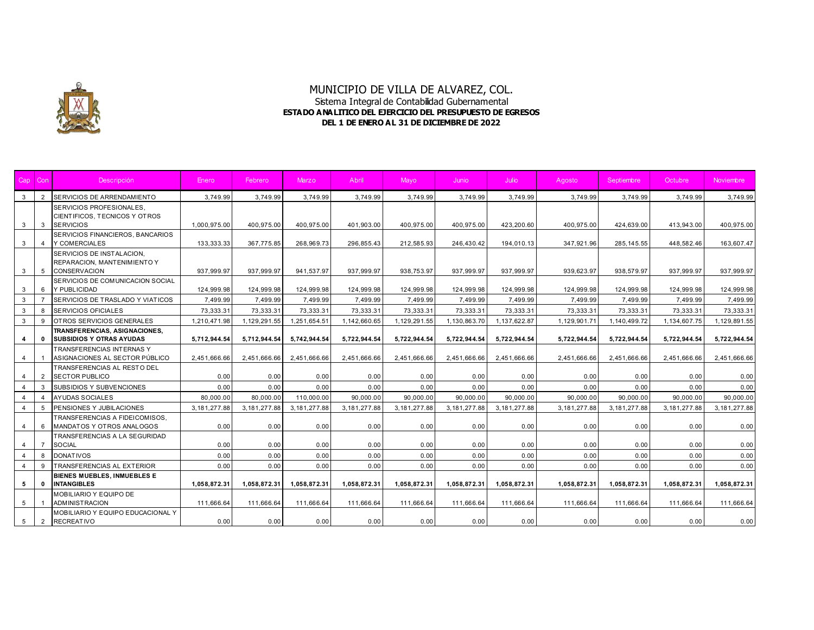

| Cap            | Con            | <b>Descripción</b>                                                              | Enero          | Febrero        | Marzo          | Abril          | Mavo           | Junio          | Julio          | Agosto         | Septiembre   | Octubre        | <b>Noviembre</b> |
|----------------|----------------|---------------------------------------------------------------------------------|----------------|----------------|----------------|----------------|----------------|----------------|----------------|----------------|--------------|----------------|------------------|
| $\mathbf{3}$   | 2              | SERVICIOS DE ARRENDAMIENTO                                                      | 3,749.99       | 3,749.99       | 3,749.99       | 3,749.99       | 3,749.99       | 3,749.99       | 3,749.99       | 3,749.99       | 3,749.99     | 3.749.99       | 3,749.99         |
| $\mathbf{3}$   | $\mathbf{3}$   | SERVICIOS PROFESIONALES.<br>CIENTIFICOS, TECNICOS Y OTROS<br><b>SERVICIOS</b>   | 1,000,975.00   | 400,975.00     | 400,975.00     | 401,903.00     | 400,975.00     | 400,975.00     | 423,200.60     | 400,975.00     | 424,639.00   | 413,943.00     | 400,975.00       |
| $\mathbf{3}$   | $\overline{4}$ | SERVICIOS FINANCIEROS, BANCARIOS<br>Y COMERCIALES                               | 133,333.33     | 367,775.85     | 268,969.73     | 296,855.43     | 212,585.93     | 246,430.42     | 194,010.13     | 347,921.96     | 285, 145.55  | 448,582.46     | 163,607.47       |
| $3^{\circ}$    | 5              | SERVICIOS DE INSTALACION.<br>REPARACION. MANTENIMIENTO Y<br><b>CONSERVACION</b> | 937,999.97     | 937,999.97     | 941.537.97     | 937.999.97     | 938,753.97     | 937.999.97     | 937.999.97     | 939,623.97     | 938.579.97   | 937.999.97     | 937,999.97       |
| $\mathbf{3}$   | 6              | SERVICIOS DE COMUNICACION SOCIAL<br>Y PUBLICIDAD                                | 124,999.98     | 124,999.98     | 124,999.98     | 124,999.98     | 124,999.98     | 124,999.98     | 124,999.98     | 124,999.98     | 124,999.98   | 124,999.98     | 124,999.98       |
| $\mathbf{3}$   |                | SERVICIOS DE TRASLADO Y VIATICOS                                                | 7,499.99       | 7,499.99       | 7,499.99       | 7,499.99       | 7,499.99       | 7,499.99       | 7,499.99       | 7,499.99       | 7,499.99     | 7,499.99       | 7,499.99         |
| $\mathbf{3}$   | 8              | <b>SERVICIOS OFICIALES</b>                                                      | 73,333.31      | 73,333.31      | 73,333.31      | 73,333.31      | 73,333.31      | 73,333.31      | 73,333.31      | 73,333.31      | 73,333.31    | 73,333.31      | 73,333.31        |
| $\mathbf{3}$   | 9              | OTROS SERVICIOS GENERALES                                                       | 1,210,471.98   | 1,129,291.55   | 1.251.654.51   | 1,142,660.65   | 1,129,291.55   | 1,130,863.70   | 1,137,622.87   | 1,129,901.71   | 1,140,499.72 | 1,134,607.75   | 1,129,891.55     |
| 4              | $\mathbf{0}$   | TRANSFERENCIAS, ASIGNACIONES,<br><b>SUBSIDIOS Y OTRAS AYUDAS</b>                | 5.712.944.54   | 5,712,944.54   | 5.742.944.54   | 5.722.944.54   | 5.722.944.54   | 5.722.944.54   | 5.722.944.54   | 5,722,944.54   | 5,722,944.54 | 5.722.944.54   | 5,722,944.54     |
| 4              |                | <b>TRANSFERENCIAS INTERNAS Y</b><br>ASIGNACIONES AL SECTOR PÚBLICO              | 2,451,666.66   | 2,451,666.66   | 2,451,666.66   | 2,451,666.66   | 2,451,666.66   | 2,451,666.66   | 2,451,666.66   | 2,451,666.66   | 2,451,666.66 | 2,451,666.66   | 2,451,666.66     |
| 4              | 2              | TRANSFERENCIAS AL RESTO DEL<br><b>SECTOR PUBLICO</b>                            | 0.00           | 0.00           | 0.00           | 0.00           | 0.00           | 0.00           | 0.00           | 0.00           | 0.00         | 0.00           | 0.00             |
| $\overline{4}$ | 3              | SUBSIDIOS Y SUBVENCIONES                                                        | 0.00           | 0.00           | 0.00           | 0.00           | 0.00           | 0.00           | 0.00           | 0.00           | 0.00         | 0.00           | 0.00             |
| $\overline{4}$ | $\overline{4}$ | <b>AYUDAS SOCIALES</b>                                                          | 80,000.00      | 80,000.00      | 110,000.00     | 90.000.00      | 90,000.00      | 90.000.00      | 90.000.00      | 90,000.00      | 90,000.00    | 90.000.00      | 90,000.00        |
| $\overline{4}$ | 5              | PENSIONES Y JUBILACIONES                                                        | 3, 181, 277.88 | 3, 181, 277.88 | 3, 181, 277.88 | 3, 181, 277.88 | 3, 181, 277.88 | 3, 181, 277.88 | 3, 181, 277.88 | 3, 181, 277.88 | 3,181,277.88 | 3, 181, 277.88 | 3, 181, 277.88   |
| $\overline{4}$ | -6             | TRANSFERENCIAS A FIDEICOMISOS,<br>MANDATOS Y OTROS ANALOGOS                     | 0.00           | 0.00           | 0.00           | 0.00           | 0.00           | 0.00           | 0.00           | 0.00           | 0.00         | 0.00           | 0.00             |
| 4              | $\overline{7}$ | TRANSFERENCIAS A LA SEGURIDAD<br><b>SOCIAL</b>                                  | 0.00           | 0.00           | 0.00           | 0.00           | 0.00           | 0.00           | 0.00           | 0.00           | 0.00         | 0.00           | 0.00             |
| $\overline{4}$ | 8              | <b>DONATIVOS</b>                                                                | 0.00           | 0.00           | 0.00           | 0.00           | 0.00           | 0.00           | 0.00           | 0.00           | 0.00         | 0.00           | 0.00             |
| $\overline{4}$ | 9              | <b>TRANSFERENCIAS AL EXTERIOR</b>                                               | 0.00           | 0.00           | 0.00           | 0.00           | 0.00           | 0.00           | 0.00           | 0.00           | 0.00         | 0.00           | 0.00             |
| 5              | $\mathbf{0}$   | BIENES MUEBLES, INMUEBLES E<br><b>INTANGIBLES</b>                               | 1,058,872.31   | 1,058,872.31   | 1,058,872.31   | 1,058,872.31   | 1,058,872.31   | 1,058,872.31   | 1,058,872.31   | 1,058,872.31   | 1,058,872.31 | 1,058,872.31   | 1,058,872.31     |
| 5              |                | MOBILIARIO Y EQUIPO DE<br><b>ADMINISTRACION</b>                                 | 111,666.64     | 111,666.64     | 111,666.64     | 111,666.64     | 111,666.64     | 111,666.64     | 111,666.64     | 111,666.64     | 111,666.64   | 111,666.64     | 111,666.64       |
| 5              | $\overline{2}$ | MOBILIARIO Y EQUIPO EDUCACIONAL Y<br><b>RECREATIVO</b>                          | 0.00           | 0.00           | 0.00           | 0.00           | 0.00           | 0.00           | 0.00           | 0.00           | 0.00         | 0.00           | 0.00             |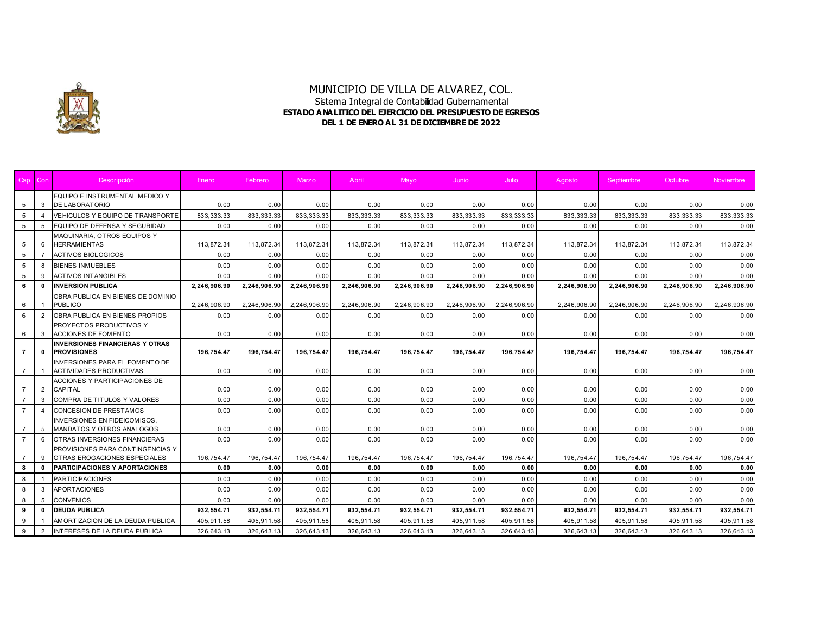

| Cap            | Con            | Descripción                                                             | Enero        | Febrero      | Marzo        | Abril        | Mayo         | Junio        | Julio        | Agosto       | Septiembre   | Octubre      | <b>Noviembre</b> |
|----------------|----------------|-------------------------------------------------------------------------|--------------|--------------|--------------|--------------|--------------|--------------|--------------|--------------|--------------|--------------|------------------|
|                |                | EQUIPO E INSTRUMENTAL MEDICO Y                                          |              |              |              |              |              |              |              |              |              |              |                  |
| 5              | 3              | <b>DE LABORATORIO</b>                                                   | 0.00         | 0.00         | 0.00         | 0.00         | 0.00         | 0.00         | 0.00         | 0.00         | 0.00         | 0.00         | 0.00             |
| 5              | $\overline{4}$ | VEHICULOS Y EQUIPO DE TRANSPORTE                                        | 833,333.33   | 833, 333. 33 | 833,333.33   | 833, 333. 33 | 833, 333. 33 | 833, 333. 33 | 833, 333. 33 | 833, 333. 33 | 833,333.33   | 833, 333. 33 | 833,333.33       |
| 5              | 5              | EQUIPO DE DEFENSA Y SEGURIDAD                                           | 0.00         | 0.00         | 0.00         | 0.00         | 0.00         | 0.00         | 0.00         | 0.00         | 0.00         | 0.00         | 0.00             |
| 5              | 6              | MAQUINARIA, OTROS EQUIPOS Y<br><b>HERRAMIENTAS</b>                      | 113,872.34   | 113,872.34   | 113,872.34   | 113,872.34   | 113,872.34   | 113,872.34   | 113,872.34   | 113,872.34   | 113,872.34   | 113,872.34   | 113,872.34       |
| 5              |                | <b>ACTIVOS BIOLOGICOS</b>                                               | 0.00         | 0.00         | 0.00         | 0.00         | 0.00         | 0.00         | 0.00         | 0.00         | 0.00         | 0.00         | 0.00             |
| 5              | 8              | <b>BIENES INMUEBLES</b>                                                 | 0.00         | 0.00         | 0.00         | 0.00         | 0.00         | 0.00         | 0.00         | 0.00         | 0.00         | 0.00         | 0.00             |
| 5              | 9              | <b>ACTIVOS INTANGIBLES</b>                                              | 0.00         | 0.00         | 0.00         | 0.00         | 0.00         | 0.00         | 0.00         | 0.00         | 0.00         | 0.00         | 0.00             |
| 6              | $\mathbf{0}$   | <b>INVERSION PUBLICA</b>                                                | 2,246,906.90 | 2,246,906.90 | 2,246,906.90 | 2,246,906.90 | 2,246,906.90 | 2,246,906.90 | 2,246,906.90 | 2,246,906.90 | 2,246,906.90 | 2,246,906.90 | 2,246,906.90     |
| 6              |                | OBRA PUBLICA EN BIENES DE DOMINIO<br><b>PUBLICO</b>                     | 2,246,906.90 | 2,246,906.90 | 2,246,906.90 | 2,246,906.90 | 2,246,906.90 | 2,246,906.90 | 2,246,906.90 | 2,246,906.90 | 2,246,906.90 | 2,246,906.90 | 2,246,906.90     |
| 6              | 2              | OBRA PUBLICA EN BIENES PROPIOS                                          | 0.00         | 0.00         | 0.00         | 0.00         | 0.00         | 0.00         | 0.00         | 0.00         | 0.00         | 0.00         | 0.00             |
| 6              | 3              | PROYECTOS PRODUCTIVOS Y<br><b>ACCIONES DE FOMENTO</b>                   | 0.00         | 0.00         | 0.00         | 0.00         | 0.00         | 0.00         | 0.00         | 0.00         | 0.00         | 0.00         | 0.00             |
| $\overline{7}$ | $\mathbf{0}$   | <b>INVERSIONES FINANCIERAS Y OTRAS</b><br><b>PROVISIONES</b>            | 196,754.47   | 196,754.47   | 196,754.47   | 196,754.47   | 196,754.47   | 196,754.47   | 196,754.47   | 196,754.47   | 196,754.47   | 196,754.47   | 196,754.47       |
| $\overline{7}$ |                | <b>INVERSIONES PARA EL FOMENTO DE</b><br><b>ACTIVIDADES PRODUCTIVAS</b> | 0.00         | 0.00         | 0.00         | 0.00         | 0.00         | 0.00         | 0.00         | 0.00         | 0.00         | 0.00         | 0.00             |
| $\overline{7}$ | 2              | ACCIONES Y PARTICIPACIONES DE<br><b>CAPITAL</b>                         | 0.00         | 0.00         | 0.00         | 0.00         | 0.00         | 0.00         | 0.00         | 0.00         | 0.00         | 0.00         | 0.00             |
| $\overline{7}$ | 3              | COMPRA DE TITULOS Y VALORES                                             | 0.00         | 0.00         | 0.00         | 0.00         | 0.00         | 0.00         | 0.00         | 0.00         | 0.00         | 0.00         | 0.00             |
|                |                | <b>CONCESION DE PRESTAMOS</b>                                           | 0.00         | 0.00         | 0.00         | 0.00         | 0.00         | 0.00         | 0.00         | 0.00         | 0.00         | 0.00         | 0.00             |
| $\overline{7}$ | 5              | <b>INVERSIONES EN FIDEICOMISOS.</b><br>MANDATOS Y OTROS ANALOGOS        | 0.00         | 0.00         | 0.00         | 0.00         | 0.00         | 0.00         | 0.00         | 0.00         | 0.00         | 0.00         | 0.00             |
| $\overline{7}$ | 6              | <b>OTRAS INVERSIONES FINANCIERAS</b>                                    | 0.00         | 0.00         | 0.00         | 0.00         | 0.00         | 0.00         | 0.00         | 0.00         | 0.00         | 0.00         | 0.00             |
| $\overline{7}$ | 9              | PROVISIONES PARA CONTINGENCIAS Y<br>OTRAS EROGACIONES ESPECIALES        | 196,754.47   | 196,754.47   | 196,754.47   | 196,754.47   | 196,754.47   | 196,754.47   | 196,754.47   | 196,754.47   | 196,754.47   | 196,754.47   | 196,754.47       |
| 8              | $\Omega$       | <b>PARTICIPACIONES Y APORTACIONES</b>                                   | 0.00         | 0.00         | 0.00         | 0.00         | 0.00         | 0.00         | 0.00         | 0.00         | 0.00         | 0.00         | 0.00             |
| 8              |                | <b>PARTICIPACIONES</b>                                                  | 0.00         | 0.00         | 0.00         | 0.00         | 0.00         | 0.00         | 0.00         | 0.00         | 0.00         | 0.00         | 0.00             |
| 8              | 3              | <b>APORTACIONES</b>                                                     | 0.00         | 0.00         | 0.00         | 0.00         | 0.00         | 0.00         | 0.00         | 0.00         | 0.00         | 0.00         | 0.00             |
| 8              | 5              | <b>CONVENIOS</b>                                                        | 0.00         | 0.00         | 0.00         | 0.00         | 0.00         | 0.00         | 0.00         | 0.00         | 0.00         | 0.00         | 0.00             |
| 9              | $\mathbf{0}$   | <b>DEUDA PUBLICA</b>                                                    | 932,554.71   | 932,554.71   | 932,554.71   | 932,554.71   | 932,554.71   | 932,554.71   | 932,554.71   | 932,554.71   | 932,554.71   | 932,554.71   | 932,554.71       |
| 9              |                | AMORTIZACION DE LA DEUDA PUBLICA                                        | 405.911.58   | 405,911.58   | 405,911.58   | 405,911.58   | 405,911.58   | 405,911.58   | 405,911.58   | 405,911.58   | 405,911.58   | 405,911.58   | 405,911.58       |
| 9              | $\overline{2}$ | INTERESES DE LA DEUDA PUBLICA                                           | 326,643.13   | 326,643.13   | 326,643.13   | 326,643.13   | 326,643.13   | 326,643.13   | 326,643.13   | 326,643.13   | 326,643.13   | 326,643.13   | 326,643.13       |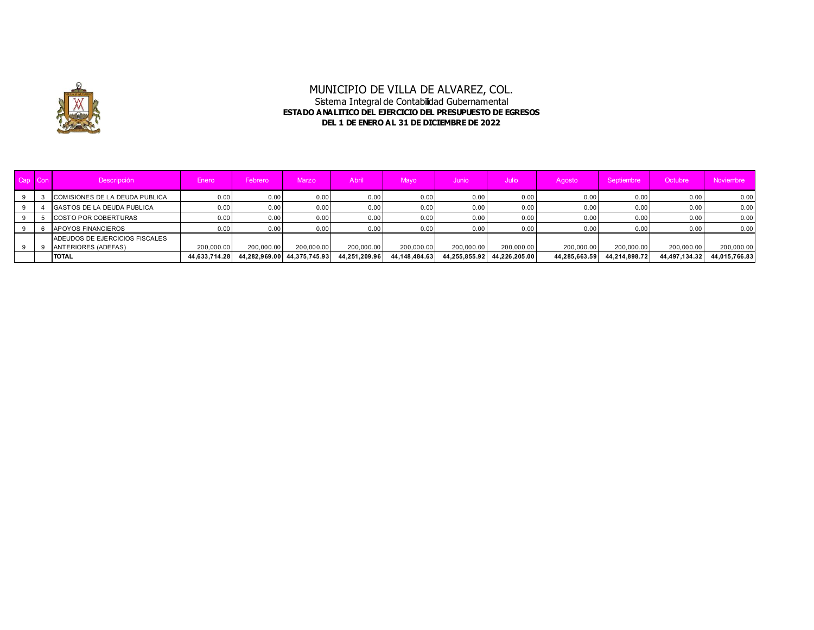

| Cap | Con <sup>1</sup> | Descripción                                                  | Enero         | Febrero    | Marzo                       | Abril         | Mavo             | Junio         | Julio /       | Agosto        | Septiembre    | Octubre       | Noviembre     |
|-----|------------------|--------------------------------------------------------------|---------------|------------|-----------------------------|---------------|------------------|---------------|---------------|---------------|---------------|---------------|---------------|
|     |                  | COMISIONES DE LA DEUDA PUBLICA                               | 0.00          | 0.00       | 0.00                        | 0.00          | 0.00             | 0.00          | 0.00          | 0.00          | 0.00          | 0.00          | 0.00          |
|     |                  | <b>GASTOS DE LA DEUDA PUBLICA</b>                            | 0.00          | 0.00       | 0.00                        | 0.00          | 0.00             | 0.00          | 0.00          | 0.00          | 0.00          | 0.00          | 0.00          |
|     |                  | <b>COSTO POR COBERTURAS</b>                                  | 0.00          | 0.00       | 0.00                        | 0.00          | 0.00             | 0.00          | 0.00          | 0.00          | 0.00          | 0.00          | 0.00          |
|     |                  | <b>APOYOS FINANCIEROS</b>                                    | 0.00          | 0.00       | 0.00                        | 0.00          | 0.00             | 0.00          | 0.00          | 0.00          | 0.00          | 0.00          | 0.00          |
|     |                  | ADEUDOS DE EJERCICIOS FISCALES<br><b>ANTERIORES (ADEFAS)</b> | 200.000.00    | 200,000.00 | 200.000.00                  | 200,000.00    | 200.000.00       | 200,000.00    | 200,000.00    | 200.000.00    | 200.000.00    | 200,000.00    | 200,000.00    |
|     |                  | <b>TOTAL</b>                                                 | 44,633,714.28 |            | 44,282,969.00 44,375,745.93 | 44.251.209.96 | 44, 148, 484, 63 | 44.255.855.92 | 44.226.205.00 | 44,285,663.59 | 44,214,898.72 | 44,497,134.32 | 44,015,766.83 |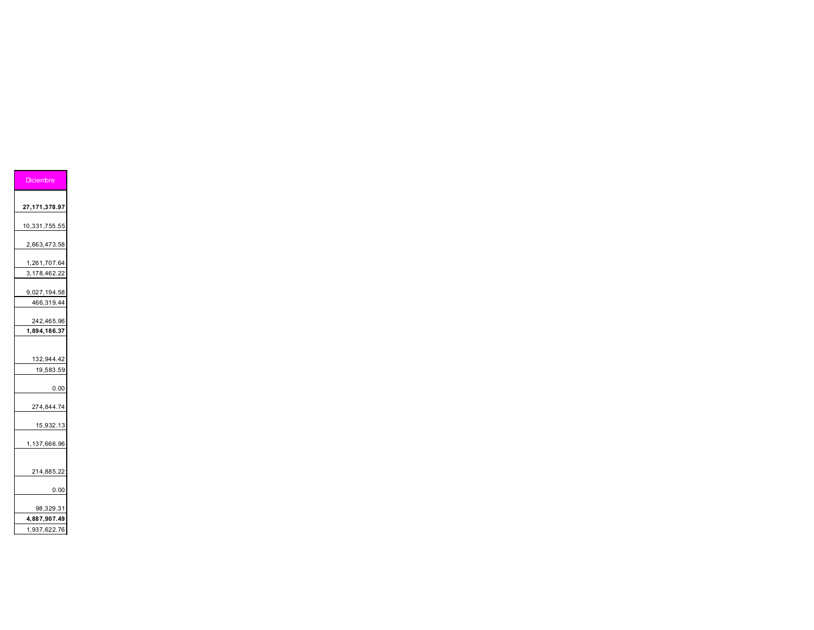| Diciembre                    |
|------------------------------|
| 27,171,378.97                |
| 10,331,755.55                |
| 2,663,473.58                 |
| 1,261,707.64                 |
| 3,178,462.22                 |
| 9,027,194.58<br>466,319.44   |
| 242,465.96<br>1,894,186.37   |
|                              |
| 132,944.42<br>19,583.59      |
| 0.00                         |
| 274,844.74                   |
| 15,932.13                    |
| 1,137,666.96                 |
| 214,885.22                   |
| 0.00                         |
| 98,329.31                    |
| 4,887,907.49<br>1,937,622.76 |
|                              |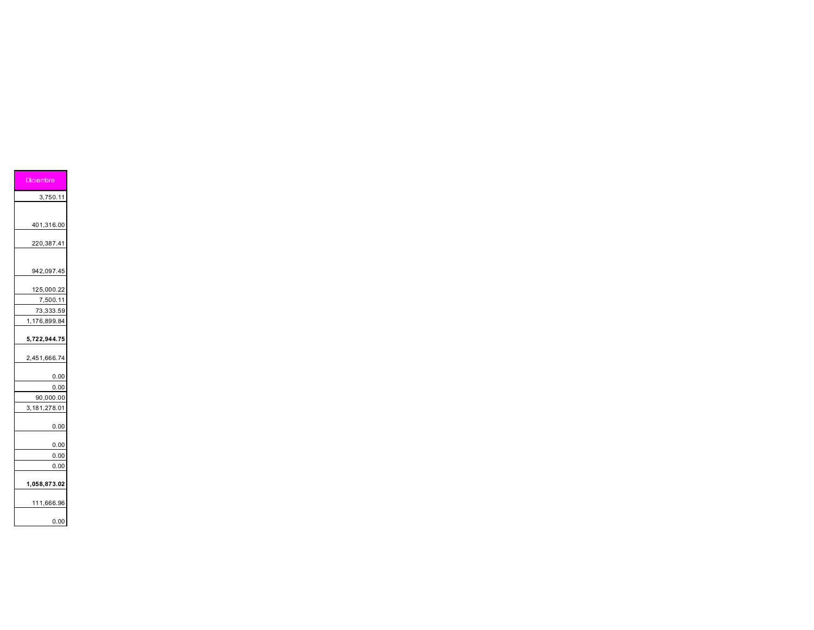| <b>Diciembre</b> |      |
|------------------|------|
| 3,750.11         |      |
|                  |      |
| 401,316.00       |      |
| 220,387.41       |      |
| 942,097.45       |      |
|                  |      |
| 125,000.22       |      |
| 7,500.11         |      |
| 73,333.59        |      |
| 1,176,899.84     |      |
| 5,722,944.75     |      |
| 2,451,666.74     |      |
|                  | 0.00 |
|                  | 0.00 |
| 90,000.00        |      |
| 3,181,278.01     |      |
|                  | 0.00 |
|                  | 0.00 |
|                  | 0.00 |
|                  | 0.00 |
| 1,058,873.02     |      |
| 111,666.96       |      |
|                  | 0.00 |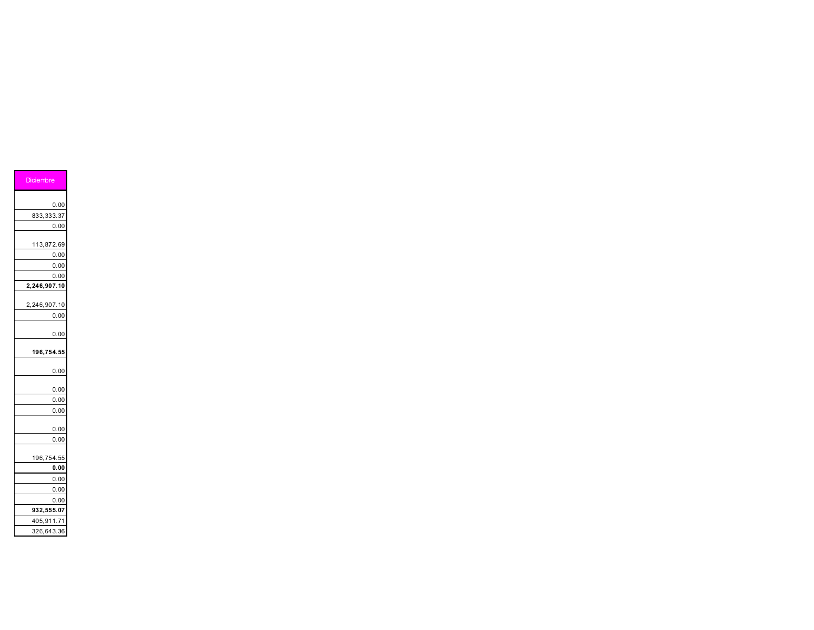| <b>Diciembre</b> |
|------------------|
|                  |
| 0.00             |
| 833,333.37       |
| 0.00             |
|                  |
| 113,872.69       |
| 0.00             |
| 0.00             |
| 0.00             |
| 2,246,907.10     |
|                  |
| 2,246,907.10     |
| 0.00             |
|                  |
| 0.00             |
| 196,754.55       |
|                  |
| 0.00             |
| 0.00             |
| 0.00             |
| 0.00             |
|                  |
| 0.00             |
| 0.00             |
|                  |
| 196,754.55       |
| 0.00             |
| 0.00             |
| 0.00             |
| 0.00             |
| 932,555.07       |
| 405,911.71       |
| 326,643.36       |